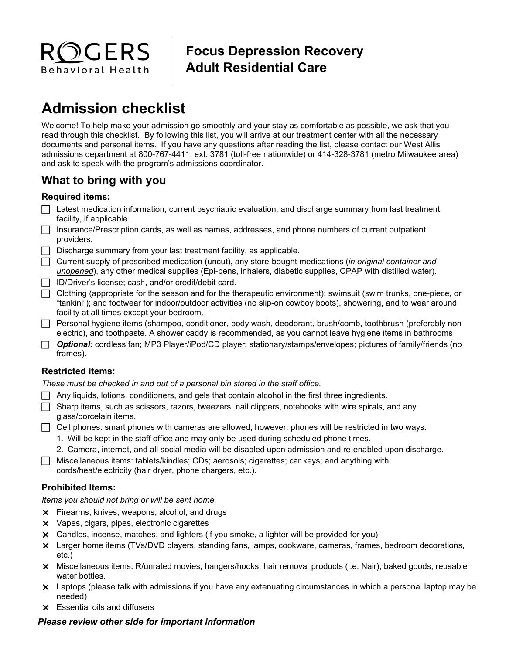

# **Focus Depression Recovery Adult Residential Care**

# **Admission checklist**

Welcome! To help make your admission go smoothly and your stay as comfortable as possible, we ask that you read through this checklist. By following this list, you will arrive at our treatment center with all the necessary documents and personal items. If you have any questions after reading the list, please contact our West Allis admissions department at 800-767-4411, ext. 3781 (toll-free nationwide) or 414-328-3781 (metro Milwaukee area) and ask to speak with the program's admissions coordinator.

# **What to bring with you**

# **Required items:**

- $\Box$  Latest medication information, current psychiatric evaluation, and discharge summary from last treatment facility, if applicable.
- $\Box$  Insurance/Prescription cards, as well as names, addresses, and phone numbers of current outpatient providers.
- $\Box$  Discharge summary from your last treatment facility, as applicable.
- Current supply of prescribed medication (uncut), any store-bought medications (*in original container and unopened*), any other medical supplies (Epi-pens, inhalers, diabetic supplies, CPAP with distilled water).
- ID/Driver's license; cash, and/or credit/debit card.
- $\Box$  Clothing (appropriate for the season and for the therapeutic environment); swimsuit (swim trunks, one-piece, or "tankini"); and footwear for indoor/outdoor activities (no slip-on cowboy boots), showering, and to wear around facility at all times except your bedroom.
- Personal hygiene items (shampoo, conditioner, body wash, deodorant, brush/comb, toothbrush (preferably nonelectric), and toothpaste. A shower caddy is recommended, as you cannot leave hygiene items in bathrooms
- *Optional:* cordless fan; MP3 Player/iPod/CD player; stationary/stamps/envelopes; pictures of family/friends (no frames).

# **Restricted items:**

*These must be checked in and out of a personal bin stored in the staff office.* 

- $\Box$  Any liquids, lotions, conditioners, and gels that contain alcohol in the first three ingredients.
- $\Box$  Sharp items, such as scissors, razors, tweezers, nail clippers, notebooks with wire spirals, and any glass/porcelain items.
- $\Box$  Cell phones: smart phones with cameras are allowed; however, phones will be restricted in two ways:
	- 1. Will be kept in the staff office and may only be used during scheduled phone times.
	- 2. Camera, internet, and all social media will be disabled upon admission and re-enabled upon discharge.
- $\Box$  Miscellaneous items: tablets/kindles; CDs; aerosols; cigarettes; car keys; and anything with cords/heat/electricity (hair dryer, phone chargers, etc.).

# **Prohibited Items:**

*Items you should not bring or will be sent home.* 

- Firearms, knives, weapons, alcohol, and drugs
- **X** Vapes, cigars, pipes, electronic cigarettes
- Candles, incense, matches, and lighters (if you smoke, a lighter will be provided for you)
- Larger home items (TVs/DVD players, standing fans, lamps, cookware, cameras, frames, bedroom decorations, etc.)
- Miscellaneous items: R/unrated movies; hangers/hooks; hair removal products (i.e. Nair); baked goods; reusable water bottles.
- Laptops (please talk with admissions if you have any extenuating circumstances in which a personal laptop may be needed)
- Essential oils and diffusers

# *Please review other side for important information*